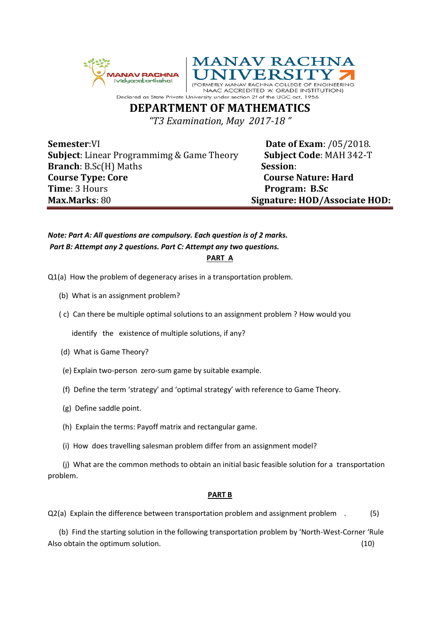



**ACCREDITED 'A' GRADE INSTITUTION)** 

Declared as State Private Univ rsity under section 2f of the UGC act, 1956 **DEPARTMENT OF MATHEMATICS** 

*"T3 Examination, May 2017-18 "*

**Semester:VI Date of Exam:** /05/2018. **Subject**: Linear Programmimg & Game Theory **Subject Code**: MAH 342-T **Branch**: B.Sc(H) Maths **Session**: **Course Type: Core** Course Nature: Hard **Time**: 3 Hours **Program: B.Sc Max.Marks**: 80 **Signature: HOD/Associate HOD:**

## *Note: Part A: All questions are compulsory. Each question is of 2 marks. Part B: Attempt any 2 questions. Part C: Attempt any two questions.*

**PART A**

Q1(a) How the problem of degeneracy arises in a transportation problem.

- (b) What is an assignment problem?
- ( c) Can there be multiple optimal solutions to an assignment problem ? How would you

identify the existence of multiple solutions, if any?

- (d) What is Game Theory?
- (e) Explain two-person zero-sum game by suitable example.
- (f) Define the term 'strategy' and 'optimal strategy' with reference to Game Theory.
- (g) Define saddle point.
- (h) Explain the terms: Payoff matrix and rectangular game.
- (i) How does travelling salesman problem differ from an assignment model?

 (j) What are the common methods to obtain an initial basic feasible solution for a transportation problem.

## **PART B**

Q2(a) Explain the difference between transportation problem and assignment problem . (5)

 (b) Find the starting solution in the following transportation problem by 'North-West-Corner 'Rule Also obtain the optimum solution. (10)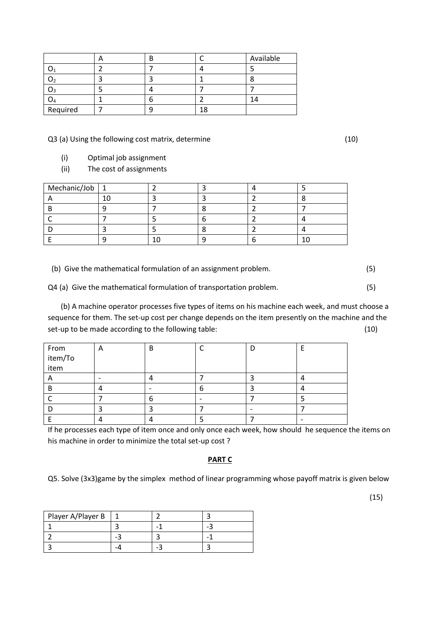|          | − |  | Available |
|----------|---|--|-----------|
|          |   |  |           |
| J٦       |   |  |           |
| ډر       |   |  |           |
| U4       |   |  |           |
| Required |   |  |           |

Q3 (a) Using the following cost matrix, determine (10)

- (i) Optimal job assignment
- (ii) The cost of assignments

| $Mechanic/Job$ 1 |  |  |  |
|------------------|--|--|--|
|                  |  |  |  |
|                  |  |  |  |
|                  |  |  |  |
|                  |  |  |  |
|                  |  |  |  |

(b) Give the mathematical formulation of an assignment problem. (5)

Q4 (a) Give the mathematical formulation of transportation problem. (5)

 (b) A machine operator processes five types of items on his machine each week, and must choose a sequence for them. The set-up cost per change depends on the item presently on the machine and the set-up to be made according to the following table: (10) (10)

|                         | A | B |  |  |
|-------------------------|---|---|--|--|
| From<br>item/To<br>item |   |   |  |  |
|                         |   |   |  |  |
|                         |   |   |  |  |
|                         |   |   |  |  |
|                         |   | h |  |  |
|                         |   |   |  |  |
|                         |   |   |  |  |

If he processes each type of item once and only once each week, how should he sequence the items on his machine in order to minimize the total set-up cost ?

## **PART C**

Q5. Solve (3x3)game by the simplex method of linear programming whose payoff matrix is given below

| Player A/Player B |  |  |
|-------------------|--|--|
|                   |  |  |
|                   |  |  |
|                   |  |  |

(15)